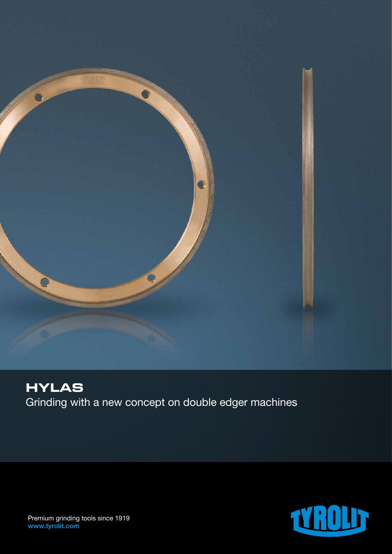

## **HYLAS** Grinding with a new concept on double edger machines



Premium grinding tools since 1919 www.tyrolit.com